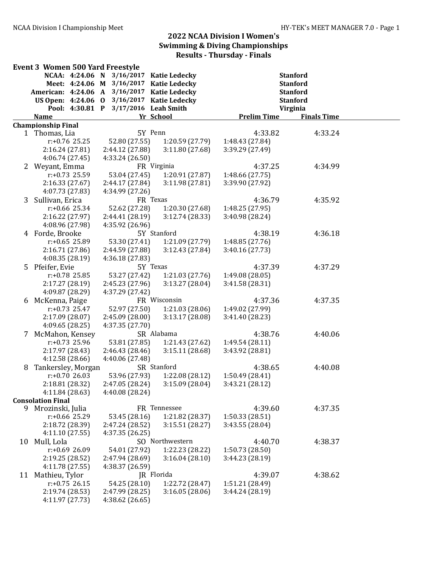| NCAA: 4:24.06 N<br>3/16/2017 Katie Ledecky<br><b>Stanford</b><br>Meet: 4:24.06 M 3/16/2017<br><b>Katie Ledecky</b><br><b>Stanford</b><br>American: 4:24.06 A 3/16/2017 Katie Ledecky<br><b>Stanford</b><br>US Open: 4:24.06 0 3/16/2017 Katie Ledecky<br><b>Stanford</b><br>Pool: 4:30.81 P 3/17/2016 Leah Smith<br>Virginia<br>Yr School<br><b>Prelim Time</b><br><b>Finals Time</b><br><b>Name</b><br><b>Championship Final</b><br>5Y Penn<br>4:33.82<br>4:33.24<br>1 Thomas, Lia<br>52.80 (27.55)<br>1:20.59 (27.79)<br>$r: +0.76$ 25.25<br>1:48.43 (27.84)<br>2:16.24(27.81)<br>2:44.12 (27.88)<br>3:11.80(27.68)<br>3:39.29 (27.49)<br>4:06.74 (27.45)<br>4:33.24 (26.50)<br>2 Weyant, Emma<br>FR Virginia<br>4:37.25<br>4:34.99<br>r:+0.73 25.59<br>53.04 (27.45)<br>1:20.91(27.87)<br>1:48.66(27.75)<br>2:16.33(27.67)<br>2:44.17 (27.84)<br>3:39.90 (27.92)<br>3:11.98(27.81)<br>4:07.73 (27.83)<br>4:34.99 (27.26)<br>3 Sullivan, Erica<br>FR Texas<br>4:36.79<br>4:35.92<br>$r: +0.66$ 25.34<br>52.62 (27.28)<br>1:20.30 (27.68)<br>1:48.25(27.95)<br>2:16.22 (27.97)<br>2:44.41 (28.19)<br>3:12.74 (28.33)<br>3:40.98 (28.24)<br>4:08.96 (27.98)<br>4:35.92 (26.96)<br>5Y Stanford<br>4 Forde, Brooke<br>4:38.19<br>4:36.18<br>$r: +0.65$ 25.89<br>53.30 (27.41)<br>1:21.09 (27.79)<br>1:48.85(27.76)<br>2:16.71(27.86)<br>2:44.59 (27.88)<br>3:12.43(27.84)<br>3:40.16 (27.73)<br>4:08.35 (28.19)<br>4:36.18 (27.83)<br>5Y Texas<br>5 Pfeifer, Evie<br>4:37.39<br>4:37.29<br>$r: +0.78$ 25.85<br>53.27 (27.42)<br>1:21.03(27.76)<br>1:49.08(28.05)<br>2:17.27 (28.19)<br>3:13.27(28.04)<br>3:41.58 (28.31)<br>2:45.23 (27.96)<br>4:09.87 (28.29)<br>4:37.29 (27.42)<br>FR Wisconsin<br>6 McKenna, Paige<br>4:37.36<br>4:37.35<br>$r: +0.73$ 25.47<br>52.97 (27.50)<br>1:21.03(28.06)<br>1:49.02 (27.99)<br>2:17.09 (28.07)<br>2:45.09 (28.00)<br>3:13.17(28.08)<br>3:41.40 (28.23)<br>4:09.65(28.25)<br>4:37.35 (27.70)<br>SR Alabama<br>4:38.76<br>McMahon, Kensey<br>4:40.06<br>$r: +0.73$ 25.96<br>53.81 (27.85)<br>1:21.43(27.62)<br>1:49.54 (28.11)<br>2:17.97 (28.43)<br>2:46.43 (28.46)<br>3:15.11(28.68)<br>3:43.92 (28.81)<br>4:12.58 (28.66)<br>4:40.06 (27.48)<br>Tankersley, Morgan<br>SR Stanford<br>4:38.65<br>4:40.08<br>8<br>$r: +0.7026.03$<br>53.96 (27.93)<br>1:22.08 (28.12)<br>1:50.49 (28.41)<br>2:18.81 (28.32)<br>2:47.05 (28.24)<br>3:15.09 (28.04)<br>3:43.21 (28.12)<br>4:40.08 (28.24)<br>4:11.84 (28.63)<br><b>Consolation Final</b><br>FR Tennessee<br>4:39.60<br>9<br>Mrozinski, Julia<br>4:37.35<br>$r: +0.66$ 25.29<br>53.45 (28.16)<br>1:21.82 (28.37)<br>1:50.33(28.51)<br>2:18.72 (28.39)<br>2:47.24 (28.52)<br>3:15.51(28.27)<br>3:43.55 (28.04)<br>4:11.10(27.55)<br>4:37.35 (26.25)<br>Mull, Lola<br>SO Northwestern<br>4:38.37<br>4:40.70<br>10<br>54.01 (27.92)<br>1:50.73 (28.50)<br>$r: +0.69$ 26.09<br>1:22.23 (28.22)<br>2:19.25 (28.52)<br>2:47.94 (28.69)<br>3:16.04(28.10)<br>3:44.23 (28.19)<br>4:11.78 (27.55)<br>4:38.37 (26.59)<br>JR Florida<br>4:39.07<br>Mathieu, Tylor<br>4:38.62<br>11<br>$r: +0.75$ 26.15<br>54.25 (28.10)<br>1:22.72 (28.47)<br>1:51.21 (28.49)<br>2:19.74 (28.53)<br>2:47.99 (28.25)<br>3:16.05(28.06)<br>3:44.24 (28.19)<br>4:11.97 (27.73)<br>4:38.62 (26.65) | <b>Event 3 Women 500 Yard Freestyle</b> |  |  |  |
|---------------------------------------------------------------------------------------------------------------------------------------------------------------------------------------------------------------------------------------------------------------------------------------------------------------------------------------------------------------------------------------------------------------------------------------------------------------------------------------------------------------------------------------------------------------------------------------------------------------------------------------------------------------------------------------------------------------------------------------------------------------------------------------------------------------------------------------------------------------------------------------------------------------------------------------------------------------------------------------------------------------------------------------------------------------------------------------------------------------------------------------------------------------------------------------------------------------------------------------------------------------------------------------------------------------------------------------------------------------------------------------------------------------------------------------------------------------------------------------------------------------------------------------------------------------------------------------------------------------------------------------------------------------------------------------------------------------------------------------------------------------------------------------------------------------------------------------------------------------------------------------------------------------------------------------------------------------------------------------------------------------------------------------------------------------------------------------------------------------------------------------------------------------------------------------------------------------------------------------------------------------------------------------------------------------------------------------------------------------------------------------------------------------------------------------------------------------------------------------------------------------------------------------------------------------------------------------------------------------------------------------------------------------------------------------------------------------------------------------------------------------------------------------------------------------------------------------------------------------------------------------------------------------------------------------------------------------------------------------------------------------------------------------------------------------------------------------------------------------------------------------------------------------------------------------------------------------------------------------------------------|-----------------------------------------|--|--|--|
|                                                                                                                                                                                                                                                                                                                                                                                                                                                                                                                                                                                                                                                                                                                                                                                                                                                                                                                                                                                                                                                                                                                                                                                                                                                                                                                                                                                                                                                                                                                                                                                                                                                                                                                                                                                                                                                                                                                                                                                                                                                                                                                                                                                                                                                                                                                                                                                                                                                                                                                                                                                                                                                                                                                                                                                                                                                                                                                                                                                                                                                                                                                                                                                                                                                         |                                         |  |  |  |
|                                                                                                                                                                                                                                                                                                                                                                                                                                                                                                                                                                                                                                                                                                                                                                                                                                                                                                                                                                                                                                                                                                                                                                                                                                                                                                                                                                                                                                                                                                                                                                                                                                                                                                                                                                                                                                                                                                                                                                                                                                                                                                                                                                                                                                                                                                                                                                                                                                                                                                                                                                                                                                                                                                                                                                                                                                                                                                                                                                                                                                                                                                                                                                                                                                                         |                                         |  |  |  |
|                                                                                                                                                                                                                                                                                                                                                                                                                                                                                                                                                                                                                                                                                                                                                                                                                                                                                                                                                                                                                                                                                                                                                                                                                                                                                                                                                                                                                                                                                                                                                                                                                                                                                                                                                                                                                                                                                                                                                                                                                                                                                                                                                                                                                                                                                                                                                                                                                                                                                                                                                                                                                                                                                                                                                                                                                                                                                                                                                                                                                                                                                                                                                                                                                                                         |                                         |  |  |  |
|                                                                                                                                                                                                                                                                                                                                                                                                                                                                                                                                                                                                                                                                                                                                                                                                                                                                                                                                                                                                                                                                                                                                                                                                                                                                                                                                                                                                                                                                                                                                                                                                                                                                                                                                                                                                                                                                                                                                                                                                                                                                                                                                                                                                                                                                                                                                                                                                                                                                                                                                                                                                                                                                                                                                                                                                                                                                                                                                                                                                                                                                                                                                                                                                                                                         |                                         |  |  |  |
|                                                                                                                                                                                                                                                                                                                                                                                                                                                                                                                                                                                                                                                                                                                                                                                                                                                                                                                                                                                                                                                                                                                                                                                                                                                                                                                                                                                                                                                                                                                                                                                                                                                                                                                                                                                                                                                                                                                                                                                                                                                                                                                                                                                                                                                                                                                                                                                                                                                                                                                                                                                                                                                                                                                                                                                                                                                                                                                                                                                                                                                                                                                                                                                                                                                         |                                         |  |  |  |
|                                                                                                                                                                                                                                                                                                                                                                                                                                                                                                                                                                                                                                                                                                                                                                                                                                                                                                                                                                                                                                                                                                                                                                                                                                                                                                                                                                                                                                                                                                                                                                                                                                                                                                                                                                                                                                                                                                                                                                                                                                                                                                                                                                                                                                                                                                                                                                                                                                                                                                                                                                                                                                                                                                                                                                                                                                                                                                                                                                                                                                                                                                                                                                                                                                                         |                                         |  |  |  |
|                                                                                                                                                                                                                                                                                                                                                                                                                                                                                                                                                                                                                                                                                                                                                                                                                                                                                                                                                                                                                                                                                                                                                                                                                                                                                                                                                                                                                                                                                                                                                                                                                                                                                                                                                                                                                                                                                                                                                                                                                                                                                                                                                                                                                                                                                                                                                                                                                                                                                                                                                                                                                                                                                                                                                                                                                                                                                                                                                                                                                                                                                                                                                                                                                                                         |                                         |  |  |  |
|                                                                                                                                                                                                                                                                                                                                                                                                                                                                                                                                                                                                                                                                                                                                                                                                                                                                                                                                                                                                                                                                                                                                                                                                                                                                                                                                                                                                                                                                                                                                                                                                                                                                                                                                                                                                                                                                                                                                                                                                                                                                                                                                                                                                                                                                                                                                                                                                                                                                                                                                                                                                                                                                                                                                                                                                                                                                                                                                                                                                                                                                                                                                                                                                                                                         |                                         |  |  |  |
|                                                                                                                                                                                                                                                                                                                                                                                                                                                                                                                                                                                                                                                                                                                                                                                                                                                                                                                                                                                                                                                                                                                                                                                                                                                                                                                                                                                                                                                                                                                                                                                                                                                                                                                                                                                                                                                                                                                                                                                                                                                                                                                                                                                                                                                                                                                                                                                                                                                                                                                                                                                                                                                                                                                                                                                                                                                                                                                                                                                                                                                                                                                                                                                                                                                         |                                         |  |  |  |
|                                                                                                                                                                                                                                                                                                                                                                                                                                                                                                                                                                                                                                                                                                                                                                                                                                                                                                                                                                                                                                                                                                                                                                                                                                                                                                                                                                                                                                                                                                                                                                                                                                                                                                                                                                                                                                                                                                                                                                                                                                                                                                                                                                                                                                                                                                                                                                                                                                                                                                                                                                                                                                                                                                                                                                                                                                                                                                                                                                                                                                                                                                                                                                                                                                                         |                                         |  |  |  |
|                                                                                                                                                                                                                                                                                                                                                                                                                                                                                                                                                                                                                                                                                                                                                                                                                                                                                                                                                                                                                                                                                                                                                                                                                                                                                                                                                                                                                                                                                                                                                                                                                                                                                                                                                                                                                                                                                                                                                                                                                                                                                                                                                                                                                                                                                                                                                                                                                                                                                                                                                                                                                                                                                                                                                                                                                                                                                                                                                                                                                                                                                                                                                                                                                                                         |                                         |  |  |  |
|                                                                                                                                                                                                                                                                                                                                                                                                                                                                                                                                                                                                                                                                                                                                                                                                                                                                                                                                                                                                                                                                                                                                                                                                                                                                                                                                                                                                                                                                                                                                                                                                                                                                                                                                                                                                                                                                                                                                                                                                                                                                                                                                                                                                                                                                                                                                                                                                                                                                                                                                                                                                                                                                                                                                                                                                                                                                                                                                                                                                                                                                                                                                                                                                                                                         |                                         |  |  |  |
|                                                                                                                                                                                                                                                                                                                                                                                                                                                                                                                                                                                                                                                                                                                                                                                                                                                                                                                                                                                                                                                                                                                                                                                                                                                                                                                                                                                                                                                                                                                                                                                                                                                                                                                                                                                                                                                                                                                                                                                                                                                                                                                                                                                                                                                                                                                                                                                                                                                                                                                                                                                                                                                                                                                                                                                                                                                                                                                                                                                                                                                                                                                                                                                                                                                         |                                         |  |  |  |
|                                                                                                                                                                                                                                                                                                                                                                                                                                                                                                                                                                                                                                                                                                                                                                                                                                                                                                                                                                                                                                                                                                                                                                                                                                                                                                                                                                                                                                                                                                                                                                                                                                                                                                                                                                                                                                                                                                                                                                                                                                                                                                                                                                                                                                                                                                                                                                                                                                                                                                                                                                                                                                                                                                                                                                                                                                                                                                                                                                                                                                                                                                                                                                                                                                                         |                                         |  |  |  |
|                                                                                                                                                                                                                                                                                                                                                                                                                                                                                                                                                                                                                                                                                                                                                                                                                                                                                                                                                                                                                                                                                                                                                                                                                                                                                                                                                                                                                                                                                                                                                                                                                                                                                                                                                                                                                                                                                                                                                                                                                                                                                                                                                                                                                                                                                                                                                                                                                                                                                                                                                                                                                                                                                                                                                                                                                                                                                                                                                                                                                                                                                                                                                                                                                                                         |                                         |  |  |  |
|                                                                                                                                                                                                                                                                                                                                                                                                                                                                                                                                                                                                                                                                                                                                                                                                                                                                                                                                                                                                                                                                                                                                                                                                                                                                                                                                                                                                                                                                                                                                                                                                                                                                                                                                                                                                                                                                                                                                                                                                                                                                                                                                                                                                                                                                                                                                                                                                                                                                                                                                                                                                                                                                                                                                                                                                                                                                                                                                                                                                                                                                                                                                                                                                                                                         |                                         |  |  |  |
|                                                                                                                                                                                                                                                                                                                                                                                                                                                                                                                                                                                                                                                                                                                                                                                                                                                                                                                                                                                                                                                                                                                                                                                                                                                                                                                                                                                                                                                                                                                                                                                                                                                                                                                                                                                                                                                                                                                                                                                                                                                                                                                                                                                                                                                                                                                                                                                                                                                                                                                                                                                                                                                                                                                                                                                                                                                                                                                                                                                                                                                                                                                                                                                                                                                         |                                         |  |  |  |
|                                                                                                                                                                                                                                                                                                                                                                                                                                                                                                                                                                                                                                                                                                                                                                                                                                                                                                                                                                                                                                                                                                                                                                                                                                                                                                                                                                                                                                                                                                                                                                                                                                                                                                                                                                                                                                                                                                                                                                                                                                                                                                                                                                                                                                                                                                                                                                                                                                                                                                                                                                                                                                                                                                                                                                                                                                                                                                                                                                                                                                                                                                                                                                                                                                                         |                                         |  |  |  |
|                                                                                                                                                                                                                                                                                                                                                                                                                                                                                                                                                                                                                                                                                                                                                                                                                                                                                                                                                                                                                                                                                                                                                                                                                                                                                                                                                                                                                                                                                                                                                                                                                                                                                                                                                                                                                                                                                                                                                                                                                                                                                                                                                                                                                                                                                                                                                                                                                                                                                                                                                                                                                                                                                                                                                                                                                                                                                                                                                                                                                                                                                                                                                                                                                                                         |                                         |  |  |  |
|                                                                                                                                                                                                                                                                                                                                                                                                                                                                                                                                                                                                                                                                                                                                                                                                                                                                                                                                                                                                                                                                                                                                                                                                                                                                                                                                                                                                                                                                                                                                                                                                                                                                                                                                                                                                                                                                                                                                                                                                                                                                                                                                                                                                                                                                                                                                                                                                                                                                                                                                                                                                                                                                                                                                                                                                                                                                                                                                                                                                                                                                                                                                                                                                                                                         |                                         |  |  |  |
|                                                                                                                                                                                                                                                                                                                                                                                                                                                                                                                                                                                                                                                                                                                                                                                                                                                                                                                                                                                                                                                                                                                                                                                                                                                                                                                                                                                                                                                                                                                                                                                                                                                                                                                                                                                                                                                                                                                                                                                                                                                                                                                                                                                                                                                                                                                                                                                                                                                                                                                                                                                                                                                                                                                                                                                                                                                                                                                                                                                                                                                                                                                                                                                                                                                         |                                         |  |  |  |
|                                                                                                                                                                                                                                                                                                                                                                                                                                                                                                                                                                                                                                                                                                                                                                                                                                                                                                                                                                                                                                                                                                                                                                                                                                                                                                                                                                                                                                                                                                                                                                                                                                                                                                                                                                                                                                                                                                                                                                                                                                                                                                                                                                                                                                                                                                                                                                                                                                                                                                                                                                                                                                                                                                                                                                                                                                                                                                                                                                                                                                                                                                                                                                                                                                                         |                                         |  |  |  |
|                                                                                                                                                                                                                                                                                                                                                                                                                                                                                                                                                                                                                                                                                                                                                                                                                                                                                                                                                                                                                                                                                                                                                                                                                                                                                                                                                                                                                                                                                                                                                                                                                                                                                                                                                                                                                                                                                                                                                                                                                                                                                                                                                                                                                                                                                                                                                                                                                                                                                                                                                                                                                                                                                                                                                                                                                                                                                                                                                                                                                                                                                                                                                                                                                                                         |                                         |  |  |  |
|                                                                                                                                                                                                                                                                                                                                                                                                                                                                                                                                                                                                                                                                                                                                                                                                                                                                                                                                                                                                                                                                                                                                                                                                                                                                                                                                                                                                                                                                                                                                                                                                                                                                                                                                                                                                                                                                                                                                                                                                                                                                                                                                                                                                                                                                                                                                                                                                                                                                                                                                                                                                                                                                                                                                                                                                                                                                                                                                                                                                                                                                                                                                                                                                                                                         |                                         |  |  |  |
|                                                                                                                                                                                                                                                                                                                                                                                                                                                                                                                                                                                                                                                                                                                                                                                                                                                                                                                                                                                                                                                                                                                                                                                                                                                                                                                                                                                                                                                                                                                                                                                                                                                                                                                                                                                                                                                                                                                                                                                                                                                                                                                                                                                                                                                                                                                                                                                                                                                                                                                                                                                                                                                                                                                                                                                                                                                                                                                                                                                                                                                                                                                                                                                                                                                         |                                         |  |  |  |
|                                                                                                                                                                                                                                                                                                                                                                                                                                                                                                                                                                                                                                                                                                                                                                                                                                                                                                                                                                                                                                                                                                                                                                                                                                                                                                                                                                                                                                                                                                                                                                                                                                                                                                                                                                                                                                                                                                                                                                                                                                                                                                                                                                                                                                                                                                                                                                                                                                                                                                                                                                                                                                                                                                                                                                                                                                                                                                                                                                                                                                                                                                                                                                                                                                                         |                                         |  |  |  |
|                                                                                                                                                                                                                                                                                                                                                                                                                                                                                                                                                                                                                                                                                                                                                                                                                                                                                                                                                                                                                                                                                                                                                                                                                                                                                                                                                                                                                                                                                                                                                                                                                                                                                                                                                                                                                                                                                                                                                                                                                                                                                                                                                                                                                                                                                                                                                                                                                                                                                                                                                                                                                                                                                                                                                                                                                                                                                                                                                                                                                                                                                                                                                                                                                                                         |                                         |  |  |  |
|                                                                                                                                                                                                                                                                                                                                                                                                                                                                                                                                                                                                                                                                                                                                                                                                                                                                                                                                                                                                                                                                                                                                                                                                                                                                                                                                                                                                                                                                                                                                                                                                                                                                                                                                                                                                                                                                                                                                                                                                                                                                                                                                                                                                                                                                                                                                                                                                                                                                                                                                                                                                                                                                                                                                                                                                                                                                                                                                                                                                                                                                                                                                                                                                                                                         |                                         |  |  |  |
|                                                                                                                                                                                                                                                                                                                                                                                                                                                                                                                                                                                                                                                                                                                                                                                                                                                                                                                                                                                                                                                                                                                                                                                                                                                                                                                                                                                                                                                                                                                                                                                                                                                                                                                                                                                                                                                                                                                                                                                                                                                                                                                                                                                                                                                                                                                                                                                                                                                                                                                                                                                                                                                                                                                                                                                                                                                                                                                                                                                                                                                                                                                                                                                                                                                         |                                         |  |  |  |
|                                                                                                                                                                                                                                                                                                                                                                                                                                                                                                                                                                                                                                                                                                                                                                                                                                                                                                                                                                                                                                                                                                                                                                                                                                                                                                                                                                                                                                                                                                                                                                                                                                                                                                                                                                                                                                                                                                                                                                                                                                                                                                                                                                                                                                                                                                                                                                                                                                                                                                                                                                                                                                                                                                                                                                                                                                                                                                                                                                                                                                                                                                                                                                                                                                                         |                                         |  |  |  |
|                                                                                                                                                                                                                                                                                                                                                                                                                                                                                                                                                                                                                                                                                                                                                                                                                                                                                                                                                                                                                                                                                                                                                                                                                                                                                                                                                                                                                                                                                                                                                                                                                                                                                                                                                                                                                                                                                                                                                                                                                                                                                                                                                                                                                                                                                                                                                                                                                                                                                                                                                                                                                                                                                                                                                                                                                                                                                                                                                                                                                                                                                                                                                                                                                                                         |                                         |  |  |  |
|                                                                                                                                                                                                                                                                                                                                                                                                                                                                                                                                                                                                                                                                                                                                                                                                                                                                                                                                                                                                                                                                                                                                                                                                                                                                                                                                                                                                                                                                                                                                                                                                                                                                                                                                                                                                                                                                                                                                                                                                                                                                                                                                                                                                                                                                                                                                                                                                                                                                                                                                                                                                                                                                                                                                                                                                                                                                                                                                                                                                                                                                                                                                                                                                                                                         |                                         |  |  |  |
|                                                                                                                                                                                                                                                                                                                                                                                                                                                                                                                                                                                                                                                                                                                                                                                                                                                                                                                                                                                                                                                                                                                                                                                                                                                                                                                                                                                                                                                                                                                                                                                                                                                                                                                                                                                                                                                                                                                                                                                                                                                                                                                                                                                                                                                                                                                                                                                                                                                                                                                                                                                                                                                                                                                                                                                                                                                                                                                                                                                                                                                                                                                                                                                                                                                         |                                         |  |  |  |
|                                                                                                                                                                                                                                                                                                                                                                                                                                                                                                                                                                                                                                                                                                                                                                                                                                                                                                                                                                                                                                                                                                                                                                                                                                                                                                                                                                                                                                                                                                                                                                                                                                                                                                                                                                                                                                                                                                                                                                                                                                                                                                                                                                                                                                                                                                                                                                                                                                                                                                                                                                                                                                                                                                                                                                                                                                                                                                                                                                                                                                                                                                                                                                                                                                                         |                                         |  |  |  |
|                                                                                                                                                                                                                                                                                                                                                                                                                                                                                                                                                                                                                                                                                                                                                                                                                                                                                                                                                                                                                                                                                                                                                                                                                                                                                                                                                                                                                                                                                                                                                                                                                                                                                                                                                                                                                                                                                                                                                                                                                                                                                                                                                                                                                                                                                                                                                                                                                                                                                                                                                                                                                                                                                                                                                                                                                                                                                                                                                                                                                                                                                                                                                                                                                                                         |                                         |  |  |  |
|                                                                                                                                                                                                                                                                                                                                                                                                                                                                                                                                                                                                                                                                                                                                                                                                                                                                                                                                                                                                                                                                                                                                                                                                                                                                                                                                                                                                                                                                                                                                                                                                                                                                                                                                                                                                                                                                                                                                                                                                                                                                                                                                                                                                                                                                                                                                                                                                                                                                                                                                                                                                                                                                                                                                                                                                                                                                                                                                                                                                                                                                                                                                                                                                                                                         |                                         |  |  |  |
|                                                                                                                                                                                                                                                                                                                                                                                                                                                                                                                                                                                                                                                                                                                                                                                                                                                                                                                                                                                                                                                                                                                                                                                                                                                                                                                                                                                                                                                                                                                                                                                                                                                                                                                                                                                                                                                                                                                                                                                                                                                                                                                                                                                                                                                                                                                                                                                                                                                                                                                                                                                                                                                                                                                                                                                                                                                                                                                                                                                                                                                                                                                                                                                                                                                         |                                         |  |  |  |
|                                                                                                                                                                                                                                                                                                                                                                                                                                                                                                                                                                                                                                                                                                                                                                                                                                                                                                                                                                                                                                                                                                                                                                                                                                                                                                                                                                                                                                                                                                                                                                                                                                                                                                                                                                                                                                                                                                                                                                                                                                                                                                                                                                                                                                                                                                                                                                                                                                                                                                                                                                                                                                                                                                                                                                                                                                                                                                                                                                                                                                                                                                                                                                                                                                                         |                                         |  |  |  |
|                                                                                                                                                                                                                                                                                                                                                                                                                                                                                                                                                                                                                                                                                                                                                                                                                                                                                                                                                                                                                                                                                                                                                                                                                                                                                                                                                                                                                                                                                                                                                                                                                                                                                                                                                                                                                                                                                                                                                                                                                                                                                                                                                                                                                                                                                                                                                                                                                                                                                                                                                                                                                                                                                                                                                                                                                                                                                                                                                                                                                                                                                                                                                                                                                                                         |                                         |  |  |  |
|                                                                                                                                                                                                                                                                                                                                                                                                                                                                                                                                                                                                                                                                                                                                                                                                                                                                                                                                                                                                                                                                                                                                                                                                                                                                                                                                                                                                                                                                                                                                                                                                                                                                                                                                                                                                                                                                                                                                                                                                                                                                                                                                                                                                                                                                                                                                                                                                                                                                                                                                                                                                                                                                                                                                                                                                                                                                                                                                                                                                                                                                                                                                                                                                                                                         |                                         |  |  |  |
|                                                                                                                                                                                                                                                                                                                                                                                                                                                                                                                                                                                                                                                                                                                                                                                                                                                                                                                                                                                                                                                                                                                                                                                                                                                                                                                                                                                                                                                                                                                                                                                                                                                                                                                                                                                                                                                                                                                                                                                                                                                                                                                                                                                                                                                                                                                                                                                                                                                                                                                                                                                                                                                                                                                                                                                                                                                                                                                                                                                                                                                                                                                                                                                                                                                         |                                         |  |  |  |
|                                                                                                                                                                                                                                                                                                                                                                                                                                                                                                                                                                                                                                                                                                                                                                                                                                                                                                                                                                                                                                                                                                                                                                                                                                                                                                                                                                                                                                                                                                                                                                                                                                                                                                                                                                                                                                                                                                                                                                                                                                                                                                                                                                                                                                                                                                                                                                                                                                                                                                                                                                                                                                                                                                                                                                                                                                                                                                                                                                                                                                                                                                                                                                                                                                                         |                                         |  |  |  |
|                                                                                                                                                                                                                                                                                                                                                                                                                                                                                                                                                                                                                                                                                                                                                                                                                                                                                                                                                                                                                                                                                                                                                                                                                                                                                                                                                                                                                                                                                                                                                                                                                                                                                                                                                                                                                                                                                                                                                                                                                                                                                                                                                                                                                                                                                                                                                                                                                                                                                                                                                                                                                                                                                                                                                                                                                                                                                                                                                                                                                                                                                                                                                                                                                                                         |                                         |  |  |  |
|                                                                                                                                                                                                                                                                                                                                                                                                                                                                                                                                                                                                                                                                                                                                                                                                                                                                                                                                                                                                                                                                                                                                                                                                                                                                                                                                                                                                                                                                                                                                                                                                                                                                                                                                                                                                                                                                                                                                                                                                                                                                                                                                                                                                                                                                                                                                                                                                                                                                                                                                                                                                                                                                                                                                                                                                                                                                                                                                                                                                                                                                                                                                                                                                                                                         |                                         |  |  |  |
|                                                                                                                                                                                                                                                                                                                                                                                                                                                                                                                                                                                                                                                                                                                                                                                                                                                                                                                                                                                                                                                                                                                                                                                                                                                                                                                                                                                                                                                                                                                                                                                                                                                                                                                                                                                                                                                                                                                                                                                                                                                                                                                                                                                                                                                                                                                                                                                                                                                                                                                                                                                                                                                                                                                                                                                                                                                                                                                                                                                                                                                                                                                                                                                                                                                         |                                         |  |  |  |
|                                                                                                                                                                                                                                                                                                                                                                                                                                                                                                                                                                                                                                                                                                                                                                                                                                                                                                                                                                                                                                                                                                                                                                                                                                                                                                                                                                                                                                                                                                                                                                                                                                                                                                                                                                                                                                                                                                                                                                                                                                                                                                                                                                                                                                                                                                                                                                                                                                                                                                                                                                                                                                                                                                                                                                                                                                                                                                                                                                                                                                                                                                                                                                                                                                                         |                                         |  |  |  |
|                                                                                                                                                                                                                                                                                                                                                                                                                                                                                                                                                                                                                                                                                                                                                                                                                                                                                                                                                                                                                                                                                                                                                                                                                                                                                                                                                                                                                                                                                                                                                                                                                                                                                                                                                                                                                                                                                                                                                                                                                                                                                                                                                                                                                                                                                                                                                                                                                                                                                                                                                                                                                                                                                                                                                                                                                                                                                                                                                                                                                                                                                                                                                                                                                                                         |                                         |  |  |  |
|                                                                                                                                                                                                                                                                                                                                                                                                                                                                                                                                                                                                                                                                                                                                                                                                                                                                                                                                                                                                                                                                                                                                                                                                                                                                                                                                                                                                                                                                                                                                                                                                                                                                                                                                                                                                                                                                                                                                                                                                                                                                                                                                                                                                                                                                                                                                                                                                                                                                                                                                                                                                                                                                                                                                                                                                                                                                                                                                                                                                                                                                                                                                                                                                                                                         |                                         |  |  |  |
|                                                                                                                                                                                                                                                                                                                                                                                                                                                                                                                                                                                                                                                                                                                                                                                                                                                                                                                                                                                                                                                                                                                                                                                                                                                                                                                                                                                                                                                                                                                                                                                                                                                                                                                                                                                                                                                                                                                                                                                                                                                                                                                                                                                                                                                                                                                                                                                                                                                                                                                                                                                                                                                                                                                                                                                                                                                                                                                                                                                                                                                                                                                                                                                                                                                         |                                         |  |  |  |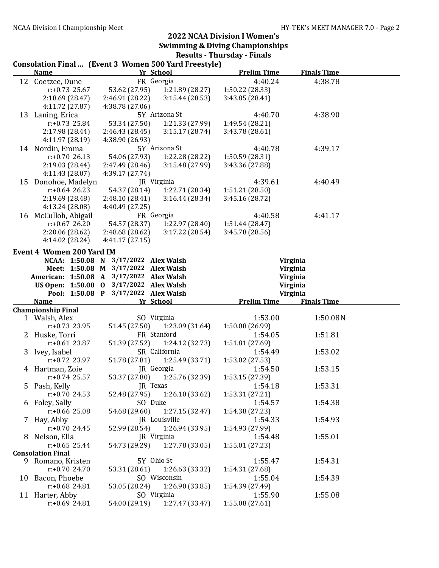#### Consolation Final ... (Event 3 Women 500 Yard Freestyle) Name **The School Prelim Time Prelim Time Pinals Time** 12 Coetzee, Dune FR Georgia 4:40.24 4:38.78 r:+0.73 25.67 53.62 (27.95) 1:21.89 (28.27) 1:50.22 (28.33) 2:18.69 (28.47) 2:46.91 (28.22) 3:15.44 (28.53) 3:43.85 (28.41) 4:11.72 (27.87) 4:38.78 (27.06) 13 Laning, Erica 5Y Arizona St 4:40.70 4:38.90 r:+0.73 25.84 53.34 (27.50) 1:21.33 (27.99) 1:49.54 (28.21) 2:17.98 (28.44) 2:46.43 (28.45) 3:15.17 (28.74) 3:43.78 (28.61) 4:11.97 (28.19) 4:38.90 (26.93) 14 Nordin, Emma 5Y Arizona St 4:40.78 4:39.17 r:+0.70 26.13 54.06 (27.93) 1:22.28 (28.22) 1:50.59 (28.31) 2:19.03 (28.44) 2:47.49 (28.46) 3:15.48 (27.99) 3:43.36 (27.88) 4:11.43 (28.07) 4:39.17 (27.74) 15 Donohoe, Madelyn JR Virginia 4:39.61 4:40.49 r:+0.64 26.23 54.37 (28.14) 1:22.71 (28.34) 1:51.21 (28.50) 2:19.69 (28.48) 2:48.10 (28.41) 3:16.44 (28.34) 3:45.16 (28.72) 4:13.24 (28.08) 4:40.49 (27.25) 16 McCulloh, Abigail FR Georgia 4:40.58 4:41.17 r:+0.67 26.20 54.57 (28.37) 1:22.97 (28.40) 1:51.44 (28.47) 2:20.06 (28.62) 2:48.68 (28.62) 3:17.22 (28.54) 3:45.78 (28.56) 4:14.02 (28.24) 4:41.17 (27.15) Event 4 Women 200 Yard IM NCAA: 1:50.08 N 3/17/2022 Alex Walsh Virginia Meet: 1:50.08 M 3/17/2022 Alex Walsh Virginia American: 1:50.08 A 3/17/2022 Alex Walsh Virginia US Open: 1:50.08 O 3/17/2022 Alex Walsh Virginia Pool: 1:50.08 P 3/17/2022 Alex Walsh Virginia Name Yr School Prelim Time Finals Time Championship Final 1 Walsh, Alex SQ Virginia 1:53.00 1:50.08N r:+0.73 23.95 51.45 (27.50) 1:23.09 (31.64) 1:50.08 (26.99) 2 Huske, Torri **FR Stanford** 1:54.05 1:51.81 r:+0.61 23.87 51.39 (27.52) 1:24.12 (32.73) 1:51.81 (27.69) 3 Ivey, Isabel SR California 1:54.49 1:53.02 r:+0.72 23.97 51.78 (27.81) 1:25.49 (33.71) 1:53.02 (27.53) 4 Hartman, Zoie JR Georgia 1:54.50 1:53.15 r:+0.74 25.57 53.37 (27.80) 1:25.76 (32.39) 1:53.15 (27.39) 5 Pash, Kelly JR Texas 1:54.18 1:53.31<br>  $r: +0.70$  24.53 52.48 (27.95) 1:26.10 (33.62) 1:53.31 (27.21) r:+0.70 24.53 52.48 (27.95) 1:26.10 (33.62) 1:53.31 (27.21) 6 Foley, Sally SO Duke 1:54.57 1:54.38 r:+0.66 25.08 54.68 (29.60) 1:27.15 (32.47) 1:54.38 (27.23) 7 Hay, Abby **JR** Louisville 1:54.33 1:54.93 r:+0.70 24.45 52.99 (28.54) 1:26.94 (33.95) 1:54.93 (27.99) 8 Nelson, Ella JR Virginia 1:54.48 1:55.01 r:+0.65 25.44 54.73 (29.29) 1:27.78 (33.05) 1:55.01 (27.23) Consolation Final 9 Romano, Kristen 5Y Ohio St 1:55.47 1:54.31 r:+0.70 24.70 53.31 (28.61) 1:26.63 (33.32) 1:54.31 (27.68) 10 Bacon, Phoebe SO Wisconsin 1:55.04 1:54.39 r:+0.68 24.81 53.05 (28.24) 1:26.90 (33.85) 1:54.39 (27.49) 11 Harter, Abby SO Virginia 1:55.90 1:55.08 r:+0.69 24.81 54.00 (29.19) 1:27.47 (33.47) 1:55.08 (27.61)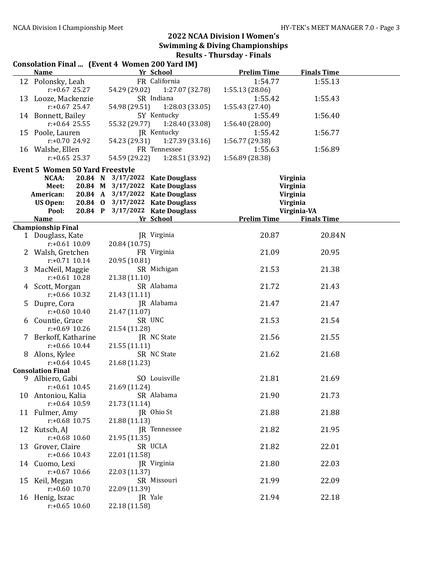| Consolation Final  (Event 4 Women 200 Yard IM) |  |               |                                 |                    |                    |  |  |
|------------------------------------------------|--|---------------|---------------------------------|--------------------|--------------------|--|--|
| <b>Name</b>                                    |  |               | Yr School                       | <b>Prelim Time</b> | <b>Finals Time</b> |  |  |
| 12 Polonsky, Leah                              |  |               | FR California                   | 1:54.77            | 1:55.13            |  |  |
| $r: +0.67$ 25.27                               |  |               | 54.29 (29.02) 1:27.07 (32.78)   | 1:55.13 (28.06)    |                    |  |  |
| 13 Looze, Mackenzie                            |  |               | SR Indiana                      | 1:55.42            | 1:55.43            |  |  |
| $r: +0.67$ 25.47                               |  | 54.98 (29.51) | 1:28.03 (33.05)                 | 1:55.43(27.40)     |                    |  |  |
| 14 Bonnett, Bailey                             |  |               | 5Y Kentucky                     | 1:55.49            | 1:56.40            |  |  |
| $r: +0.64$ 25.55                               |  | 55.32 (29.77) | 1:28.40 (33.08)                 | 1:56.40(28.00)     |                    |  |  |
| 15 Poole, Lauren                               |  |               | JR Kentucky                     | 1:55.42            | 1:56.77            |  |  |
| $r: +0.7024.92$                                |  | 54.23 (29.31) | 1:27.39(33.16)                  | 1:56.77 (29.38)    |                    |  |  |
| 16 Walshe, Ellen                               |  |               | FR Tennessee                    | 1:55.63            | 1:56.89            |  |  |
| $r: +0.65$ 25.37                               |  | 54.59 (29.22) | 1:28.51 (33.92)                 | 1:56.89 (28.38)    |                    |  |  |
| <b>Event 5 Women 50 Yard Freestyle</b>         |  |               |                                 |                    |                    |  |  |
| NCAA:                                          |  |               | 20.84 N 3/17/2022 Kate Douglass |                    | Virginia           |  |  |
| Meet:                                          |  |               | 20.84 M 3/17/2022 Kate Douglass |                    | Virginia           |  |  |
| American:                                      |  |               | 20.84 A 3/17/2022 Kate Douglass |                    | Virginia           |  |  |
| US Open:                                       |  |               | 20.84 0 3/17/2022 Kate Douglass |                    | Virginia           |  |  |
| Pool:                                          |  |               | 20.84 P 3/17/2022 Kate Douglass |                    | Virginia-VA        |  |  |
| <b>Name</b>                                    |  |               | Yr School                       | <b>Prelim Time</b> | <b>Finals Time</b> |  |  |
| <b>Championship Final</b>                      |  |               |                                 |                    |                    |  |  |
| 1 Douglass, Kate                               |  |               | JR Virginia                     | 20.87              | 20.84N             |  |  |
| $r: +0.61$ 10.09                               |  | 20.84 (10.75) |                                 |                    |                    |  |  |
| 2 Walsh, Gretchen                              |  |               | FR Virginia                     | 21.09              | 20.95              |  |  |
| $r: +0.71$ 10.14                               |  | 20.95 (10.81) |                                 |                    |                    |  |  |
| 3 MacNeil, Maggie                              |  |               | SR Michigan                     | 21.53              | 21.38              |  |  |
| $r: +0.61$ 10.28                               |  | 21.38 (11.10) |                                 |                    |                    |  |  |
| 4 Scott, Morgan                                |  |               | SR Alabama                      | 21.72              | 21.43              |  |  |
| $r: +0.66$ 10.32                               |  | 21.43 (11.11) | JR Alabama                      | 21.47              | 21.47              |  |  |
| 5 Dupre, Cora<br>$r: +0.60$ 10.40              |  | 21.47 (11.07) |                                 |                    |                    |  |  |
| 6 Countie, Grace                               |  |               | SR UNC                          | 21.53              | 21.54              |  |  |
| $r: +0.69$ 10.26                               |  | 21.54 (11.28) |                                 |                    |                    |  |  |
| 7 Berkoff, Katharine                           |  |               | JR NC State                     | 21.56              | 21.55              |  |  |
| $r: +0.66$ 10.44                               |  | 21.55 (11.11) |                                 |                    |                    |  |  |
| 8 Alons, Kylee                                 |  |               | SR NC State                     | 21.62              | 21.68              |  |  |
| $r: +0.64$ 10.45                               |  | 21.68 (11.23) |                                 |                    |                    |  |  |
| <b>Consolation Final</b>                       |  |               |                                 |                    |                    |  |  |
| 9 Albiero, Gabi                                |  |               | SO Louisville                   | 21.81              | 21.69              |  |  |
| $r: +0.61$ 10.45                               |  | 21.69 (11.24) |                                 |                    |                    |  |  |
| 10 Antoniou, Kalia                             |  |               | SR Alabama                      | 21.90              | 21.73              |  |  |
| $r: +0.64$ 10.59                               |  | 21.73 (11.14) |                                 |                    |                    |  |  |
| 11 Fulmer, Amy                                 |  |               | JR Ohio St                      | 21.88              | 21.88              |  |  |
| $r: +0.68$ 10.75                               |  | 21.88 (11.13) |                                 |                    |                    |  |  |
| 12 Kutsch, AJ                                  |  |               | JR Tennessee                    | 21.82              | 21.95              |  |  |
| $r: +0.68$ 10.60                               |  | 21.95 (11.35) |                                 |                    |                    |  |  |
| 13 Grover, Claire                              |  |               | SR UCLA                         | 21.82              | 22.01              |  |  |
| $r: +0.66$ 10.43                               |  | 22.01 (11.58) |                                 |                    |                    |  |  |
| 14 Cuomo, Lexi                                 |  |               | JR Virginia                     | 21.80              | 22.03              |  |  |
| $r: +0.67$ 10.66                               |  | 22.03 (11.37) |                                 |                    |                    |  |  |
| 15 Keil, Megan                                 |  |               | SR Missouri                     | 21.99              | 22.09              |  |  |
| $r: +0.60$ 10.70                               |  | 22.09 (11.39) |                                 |                    |                    |  |  |
| 16 Henig, Iszac                                |  |               | JR Yale                         | 21.94              | 22.18              |  |  |
| $r: +0.65$ 10.60                               |  | 22.18 (11.58) |                                 |                    |                    |  |  |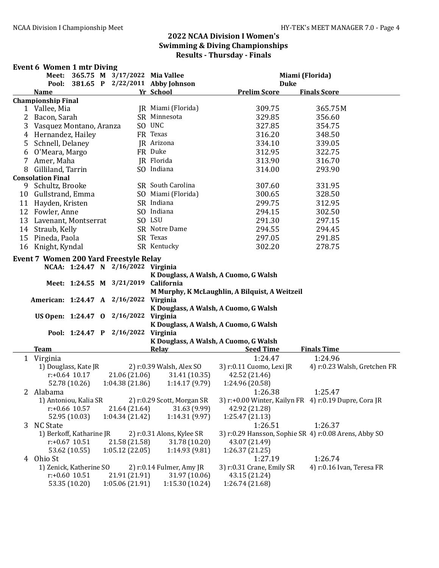#### Event 6 Women 1 mtr Diving

|                |                                               |                                   |  |                                 | Meet: 365.75 M 3/17/2022 Mia Vallee               |                                                | Miami (Florida)                                       |
|----------------|-----------------------------------------------|-----------------------------------|--|---------------------------------|---------------------------------------------------|------------------------------------------------|-------------------------------------------------------|
|                | Pool:                                         |                                   |  |                                 | 381.65 P 2/22/2011 Abby Johnson                   | <b>Duke</b>                                    |                                                       |
|                | <b>Name</b>                                   |                                   |  |                                 | Yr School                                         | <b>Prelim Score</b>                            | <b>Finals Score</b>                                   |
|                | <b>Championship Final</b>                     |                                   |  |                                 |                                                   |                                                |                                                       |
|                | 1 Vallee, Mia                                 |                                   |  |                                 | JR Miami (Florida)                                | 309.75                                         | 365.75 M                                              |
| $\overline{2}$ | Bacon, Sarah                                  |                                   |  |                                 | SR Minnesota                                      | 329.85                                         | 356.60                                                |
| 3              | Vasquez Montano, Aranza                       |                                   |  |                                 | SO UNC                                            | 327.85                                         | 354.75                                                |
| 4              | Hernandez, Hailey                             |                                   |  |                                 | FR Texas                                          | 316.20                                         | 348.50                                                |
| 5              | Schnell, Delaney                              |                                   |  |                                 | JR Arizona                                        | 334.10                                         | 339.05                                                |
| 6              | O'Meara, Margo                                |                                   |  |                                 | FR Duke                                           | 312.95                                         | 322.75                                                |
| 7              | Amer, Maha                                    |                                   |  |                                 | JR Florida                                        | 313.90                                         | 316.70                                                |
| 8              | Gilliland, Tarrin                             |                                   |  |                                 | SO Indiana                                        | 314.00                                         | 293.90                                                |
|                | <b>Consolation Final</b>                      |                                   |  |                                 |                                                   |                                                |                                                       |
|                | 9 Schultz, Brooke                             |                                   |  |                                 | SR South Carolina                                 | 307.60                                         | 331.95                                                |
|                | 10 Gullstrand, Emma                           |                                   |  |                                 | SO Miami (Florida)                                | 300.65                                         | 328.50                                                |
|                | 11 Hayden, Kristen                            |                                   |  |                                 | SR Indiana                                        | 299.75                                         | 312.95                                                |
|                | 12 Fowler, Anne                               |                                   |  |                                 | SO Indiana                                        | 294.15                                         | 302.50                                                |
| 13             | Lavenant, Montserrat                          |                                   |  |                                 | SO LSU                                            | 291.30                                         | 297.15                                                |
|                | 14 Straub, Kelly                              |                                   |  |                                 | SR Notre Dame                                     | 294.55                                         | 294.45                                                |
| 15             | Pineda, Paola                                 |                                   |  |                                 | SR Texas                                          | 297.05                                         | 291.85                                                |
|                | 16 Knight, Kyndal                             |                                   |  |                                 | SR Kentucky                                       | 302.20                                         | 278.75                                                |
|                |                                               |                                   |  |                                 |                                                   |                                                |                                                       |
|                | <b>Event 7 Women 200 Yard Freestyle Relay</b> |                                   |  |                                 |                                                   |                                                |                                                       |
|                |                                               |                                   |  |                                 | NCAA: 1:24.47 N 2/16/2022 Virginia                |                                                |                                                       |
|                |                                               |                                   |  |                                 | K Douglass, A Walsh, A Cuomo, G Walsh             |                                                |                                                       |
|                |                                               | Meet: 1:24.55 M 3/21/2019         |  |                                 | California                                        |                                                |                                                       |
|                |                                               |                                   |  |                                 |                                                   | M Murphy, K McLaughlin, A Bilquist, A Weitzeil |                                                       |
|                | American: 1:24.47 A 2/16/2022                 |                                   |  |                                 | Virginia                                          |                                                |                                                       |
|                | US Open: 1:24.47 0 2/16/2022                  |                                   |  |                                 | K Douglass, A Walsh, A Cuomo, G Walsh<br>Virginia |                                                |                                                       |
|                |                                               |                                   |  |                                 | K Douglass, A Walsh, A Cuomo, G Walsh             |                                                |                                                       |
|                |                                               |                                   |  |                                 | Pool: 1:24.47 P 2/16/2022 Virginia                |                                                |                                                       |
|                |                                               |                                   |  |                                 | K Douglass, A Walsh, A Cuomo, G Walsh             |                                                |                                                       |
|                | <b>Team</b>                                   |                                   |  |                                 | Relay                                             | <b>Seed Time</b>                               | <b>Finals Time</b>                                    |
|                |                                               |                                   |  |                                 |                                                   | 1:24.47                                        | 1:24.96                                               |
|                | 1 Virginia<br>1) Douglass, Kate JR            |                                   |  |                                 | 2) r:0.39 Walsh, Alex SO                          | 3) r:0.11 Cuomo, Lexi JR                       | 4) r:0.23 Walsh, Gretchen FR                          |
|                |                                               | $r: +0.64$ 10.17                  |  | 21.06 (21.06)                   | 31.41 (10.35)                                     | 42.52 (21.46)                                  |                                                       |
|                |                                               | 52.78 (10.26)                     |  | 1:04.38(21.86)                  | 1:14.17(9.79)                                     | 1:24.96 (20.58)                                |                                                       |
|                |                                               |                                   |  |                                 |                                                   |                                                |                                                       |
|                | 2 Alabama                                     |                                   |  |                                 | 2) r:0.29 Scott, Morgan SR                        | 1:26.38                                        | 1:25.47                                               |
|                | 1) Antoniou, Kalia SR                         |                                   |  |                                 |                                                   |                                                | 3) r:+0.00 Winter, Kailyn FR 4) r:0.19 Dupre, Cora JR |
|                |                                               | $r: +0.66$ 10.57                  |  | 21.64 (21.64)                   | 31.63 (9.99)                                      | 42.92 (21.28)<br>1:25.47 (21.13)               |                                                       |
|                |                                               | 52.95 (10.03)                     |  | 1:04.34 (21.42)                 | 1:14.31(9.97)                                     |                                                |                                                       |
| 3              | <b>NC State</b>                               |                                   |  |                                 |                                                   | 1:26.51                                        | 1:26.37                                               |
|                | 1) Berkoff, Katharine JR                      | $r: +0.67$ 10.51                  |  |                                 | 2) r:0.31 Alons, Kylee SR                         |                                                | 3) r:0.29 Hansson, Sophie SR 4) r:0.08 Arens, Abby SO |
|                |                                               |                                   |  | 21.58 (21.58)                   | 31.78 (10.20)                                     | 43.07 (21.49)                                  |                                                       |
|                |                                               | 53.62 (10.55)                     |  | 1:05.12(22.05)                  | 1:14.93(9.81)                                     | 1:26.37(21.25)                                 |                                                       |
|                | 4 Ohio St                                     |                                   |  |                                 |                                                   | 1:27.19                                        | 1:26.74                                               |
|                |                                               | 1) Zenick, Katherine SO           |  |                                 | 2) r:0.14 Fulmer, Amy JR                          | 3) r:0.31 Crane, Emily SR                      | 4) r:0.16 Ivan, Teresa FR                             |
|                |                                               | $r: +0.60$ 10.51<br>53.35 (10.20) |  | 21.91 (21.91)<br>1:05.06(21.91) | 31.97 (10.06)<br>1:15.30(10.24)                   | 43.15 (21.24)<br>1:26.74 (21.68)               |                                                       |
|                |                                               |                                   |  |                                 |                                                   |                                                |                                                       |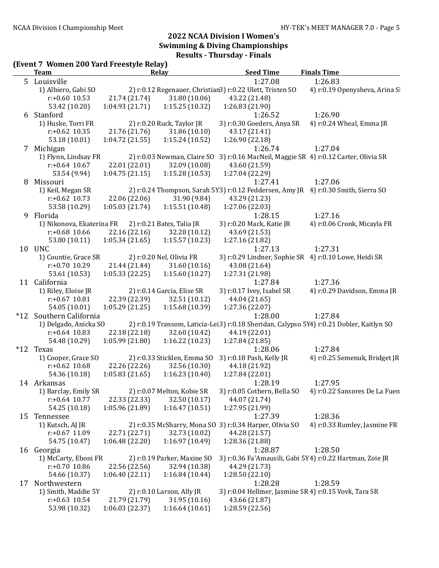#### (Event 7 Women 200 Yard Freestyle Relay)

|    | <b>Team</b>                                         |                 | Relay                             | <b>Seed Time</b>                                                                         | <b>Finals Time</b>                                        |
|----|-----------------------------------------------------|-----------------|-----------------------------------|------------------------------------------------------------------------------------------|-----------------------------------------------------------|
|    | 5 Louisville                                        |                 |                                   | 1:27.08                                                                                  | 1:26.83                                                   |
|    | 1) Albiero, Gabi SO                                 |                 |                                   | 2) r:0.12 Regenauer, Christian3) r:0.22 Ulett, Tristen SO                                | 4) r:0.19 Openysheva, Arina Sl                            |
|    | $r: +0.60$ 10.53                                    | 21.74 (21.74)   | 31.80 (10.06)                     | 43.22 (21.48)                                                                            |                                                           |
|    | 53.42 (10.20)                                       | 1:04.93(21.71)  | 1:15.25(10.32)                    | 1:26.83 (21.90)                                                                          |                                                           |
|    | 6 Stanford                                          |                 |                                   | 1:26.52                                                                                  | 1:26.90                                                   |
|    | 1) Huske, Torri FR                                  |                 | 2) r:0.20 Ruck, Taylor JR         | 3) r:0.30 Goeders, Anya SR                                                               | 4) r:0.24 Wheal, Emma JR                                  |
|    | $r: +0.62$ 10.35                                    | 21.76 (21.76)   | 31.86 (10.10)                     | 43.17 (21.41)                                                                            |                                                           |
|    | 53.18 (10.01)                                       | 1:04.72 (21.55) | 1:15.24(10.52)                    | 1:26.90 (22.18)                                                                          |                                                           |
|    | 7 Michigan                                          |                 |                                   | 1:26.74                                                                                  | 1:27.04                                                   |
|    | 1) Flynn, Lindsay FR                                |                 |                                   | 2) r:0.03 Newman, Claire SO 3) r:0.16 MacNeil, Maggie SR 4) r:0.12 Carter, Olivia SR     |                                                           |
|    | $r: +0.64$ 10.67                                    | 22.01 (22.01)   | 32.09 (10.08)                     | 43.60 (21.59)                                                                            |                                                           |
|    | 53.54 (9.94)                                        | 1:04.75(21.15)  | 1:15.28(10.53)                    | 1:27.04 (22.29)                                                                          |                                                           |
| 8  | Missouri                                            |                 |                                   | 1:27.41                                                                                  | 1:27.06                                                   |
|    | 1) Keil, Megan SR                                   |                 |                                   | 2) r:0.24 Thompson, Sarah 5Y3) r:0.12 Feddersen, Amy JR 4) r:0.30 Smith, Sierra SO       |                                                           |
|    | $r: +0.62$ 10.73                                    | 22.06 (22.06)   | 31.90 (9.84)                      | 43.29 (21.23)                                                                            |                                                           |
|    |                                                     | 1:05.03(21.74)  | 1:15.51(10.48)                    |                                                                                          |                                                           |
|    | 53.58 (10.29)                                       |                 |                                   | 1:27.06 (22.03)                                                                          |                                                           |
| 9  | Florida                                             |                 |                                   | 1:28.15                                                                                  | 1:27.16                                                   |
|    | 1) Nikonova, Ekaterina FR 2) r:0.21 Bates, Talia JR |                 |                                   | 3) r:0.20 Mack, Katie JR                                                                 | 4) r:0.06 Cronk, Micayla FR                               |
|    | $r: +0.68$ 10.66                                    | 22.16 (22.16)   | 32.28 (10.12)                     | 43.69 (21.53)                                                                            |                                                           |
|    | 53.80 (10.11)                                       | 1:05.34(21.65)  | 1:15.57(10.23)                    | 1:27.16 (21.82)                                                                          |                                                           |
|    | 10 UNC                                              |                 |                                   | 1:27.13                                                                                  | 1:27.31                                                   |
|    | 1) Countie, Grace SR                                |                 | 2) r:0.20 Nel, Olivia FR          | 3) r:0.29 Lindner, Sophie SR 4) r:0.10 Lowe, Heidi SR                                    |                                                           |
|    | $r: +0.70$ 10.29                                    | 21.44 (21.44)   | 31.60 (10.16)                     | 43.08 (21.64)                                                                            |                                                           |
|    | 53.61 (10.53)                                       |                 | $1:05.33(22.25)$ $1:15.60(10.27)$ | 1:27.31 (21.98)                                                                          |                                                           |
|    | 11 California                                       |                 |                                   | 1:27.84                                                                                  | 1:27.36                                                   |
|    | 1) Riley, Eloise JR                                 |                 | 2) r:0.14 Garcia, Elise SR        | 3) r:0.17 Ivey, Isabel SR                                                                | 4) r:0.29 Davidson, Emma JR                               |
|    | $r: +0.67$ 10.81                                    | 22.39 (22.39)   | 32.51 (10.12)                     | 44.04 (21.65)                                                                            |                                                           |
|    | 54.05 (10.01)                                       | 1:05.29 (21.25) | 1:15.68(10.39)                    | 1:27.36 (22.07)                                                                          |                                                           |
|    | *12 Southern California                             |                 |                                   | 1:28.00                                                                                  | 1:27.84                                                   |
|    | 1) Delgado, Anicka SO                               |                 |                                   | 2) r:0.19 Transom, Laticia-Lei3) r:0.18 Sheridan, Calypso 5Y4) r:0.21 Dobler, Kaitlyn SO |                                                           |
|    | $r: +0.64$ 10.83                                    | 22.18 (22.18)   | 32.60 (10.42)                     | 44.19 (22.01)                                                                            |                                                           |
|    | 54.48 (10.29)                                       | 1:05.99(21.80)  | 1:16.22(10.23)                    | 1:27.84 (21.85)                                                                          |                                                           |
|    | *12 Texas                                           |                 |                                   | 1:28.06                                                                                  | 1:27.84                                                   |
|    | 1) Cooper, Grace SO                                 |                 | 2) r:0.33 Sticklen, Emma SO       | 3) r:0.18 Pash, Kelly JR                                                                 | 4) r:0.25 Semenuk, Bridget JR                             |
|    | $r: +0.62$ 10.68                                    | 22.26 (22.26)   | 32.56 (10.30)                     | 44.18 (21.92)                                                                            |                                                           |
|    | 54.36 (10.18)                                       | 1:05.83(21.65)  | 1:16.23(10.40)                    | 1:27.84 (22.01)                                                                          |                                                           |
|    | 14 Arkansas                                         |                 |                                   | 1:28.19                                                                                  | 1:27.95                                                   |
|    |                                                     |                 | 2) r:0.07 Melton, Kobie SR        |                                                                                          | 3) r:0.05 Cothern, Bella SO 4) r:0.22 Sansores De La Fuen |
|    | 1) Barclay, Emily SR<br>$r: +0.64$ 10.77            |                 |                                   |                                                                                          |                                                           |
|    |                                                     | 22.33 (22.33)   | 32.50 (10.17)                     | 44.07 (21.74)                                                                            |                                                           |
|    | 54.25 (10.18)                                       | 1:05.96 (21.89) | 1:16.47(10.51)                    | 1:27.95 (21.99)                                                                          |                                                           |
|    | 15 Tennessee                                        |                 |                                   | 1:27.39                                                                                  | 1:28.36                                                   |
|    | 1) Kutsch, AJ JR                                    |                 |                                   | 2) r:0.35 McSharry, Mona SO 3) r:0.34 Harper, Olivia SO                                  | 4) r:0.33 Rumley, Jasmine FR                              |
|    | $r: +0.67$ 11.09                                    | 22.71 (22.71)   | 32.73 (10.02)                     | 44.28 (21.57)                                                                            |                                                           |
|    | 54.75 (10.47)                                       | 1:06.48 (22.20) | 1:16.97(10.49)                    | 1:28.36 (21.88)                                                                          |                                                           |
|    | 16 Georgia                                          |                 |                                   | 1:28.87                                                                                  | 1:28.50                                                   |
|    | 1) McCarty, Eboni FR                                |                 | 2) r:0.19 Parker, Maxine SO       | 3) r:0.36 Fa'Amausili, Gabi 5Y4) r:0.22 Hartman, Zoie JR                                 |                                                           |
|    | $r: +0.70$ 10.86                                    | 22.56 (22.56)   | 32.94 (10.38)                     | 44.29 (21.73)                                                                            |                                                           |
|    | 54.66 (10.37)                                       | 1:06.40(22.11)  | 1:16.84(10.44)                    | 1:28.50(22.10)                                                                           |                                                           |
| 17 | Northwestern                                        |                 |                                   | 1:28.28                                                                                  | 1:28.59                                                   |
|    | 1) Smith, Maddie 5Y                                 |                 | 2) r:0.10 Larson, Ally JR         | 3) r:0.04 Hellmer, Jasmine SR 4) r:0.15 Vovk, Tara SR                                    |                                                           |
|    | $r: +0.63$ 10.54                                    | 21.79 (21.79)   | 31.95 (10.16)                     | 43.66 (21.87)                                                                            |                                                           |
|    | 53.98 (10.32)                                       | 1:06.03(22.37)  | 1:16.64(10.61)                    | 1:28.59 (22.56)                                                                          |                                                           |